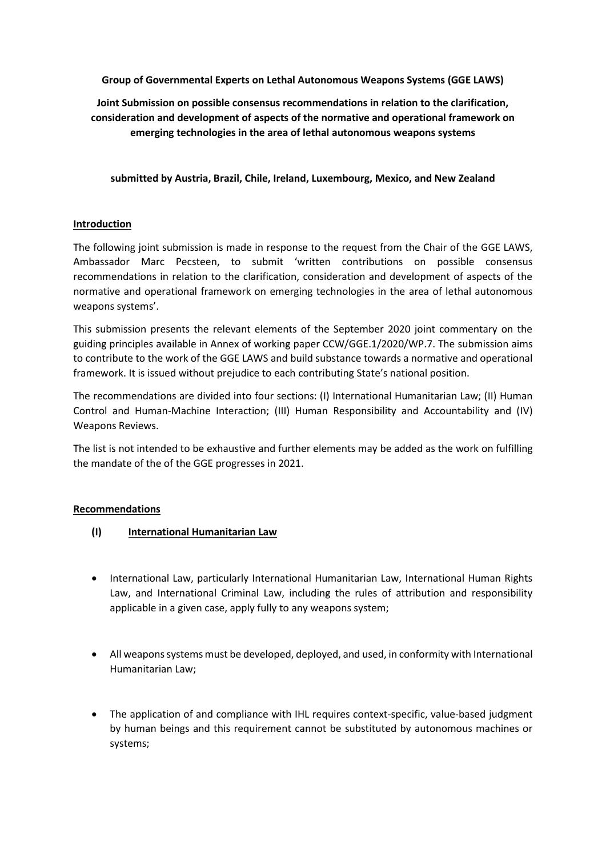**Group of Governmental Experts on Lethal Autonomous Weapons Systems (GGE LAWS)**

**Joint Submission on possible consensus recommendations in relation to the clarification, consideration and development of aspects of the normative and operational framework on emerging technologies in the area of lethal autonomous weapons systems**

**submitted by Austria, Brazil, Chile, Ireland, Luxembourg, Mexico, and New Zealand**

#### **Introduction**

The following joint submission is made in response to the request from the Chair of the GGE LAWS, Ambassador Marc Pecsteen, to submit 'written contributions on possible consensus recommendations in relation to the clarification, consideration and development of aspects of the normative and operational framework on emerging technologies in the area of lethal autonomous weapons systems'.

This submission presents the relevant elements of the September 2020 joint commentary on the guiding principles available in Annex of working paper CCW/GGE.1/2020/WP.7. The submission aims to contribute to the work of the GGE LAWS and build substance towards a normative and operational framework. It is issued without prejudice to each contributing State's national position.

The recommendations are divided into four sections: (I) International Humanitarian Law; (II) Human Control and Human-Machine Interaction; (III) Human Responsibility and Accountability and (IV) Weapons Reviews.

The list is not intended to be exhaustive and further elements may be added as the work on fulfilling the mandate of the of the GGE progresses in 2021.

#### **Recommendations**

- **(I) International Humanitarian Law**
- International Law, particularly International Humanitarian Law, International Human Rights Law, and International Criminal Law, including the rules of attribution and responsibility applicable in a given case, apply fully to any weapons system;
- All weapons systems must be developed, deployed, and used, in conformity with International Humanitarian Law;
- The application of and compliance with IHL requires context-specific, value-based judgment by human beings and this requirement cannot be substituted by autonomous machines or systems;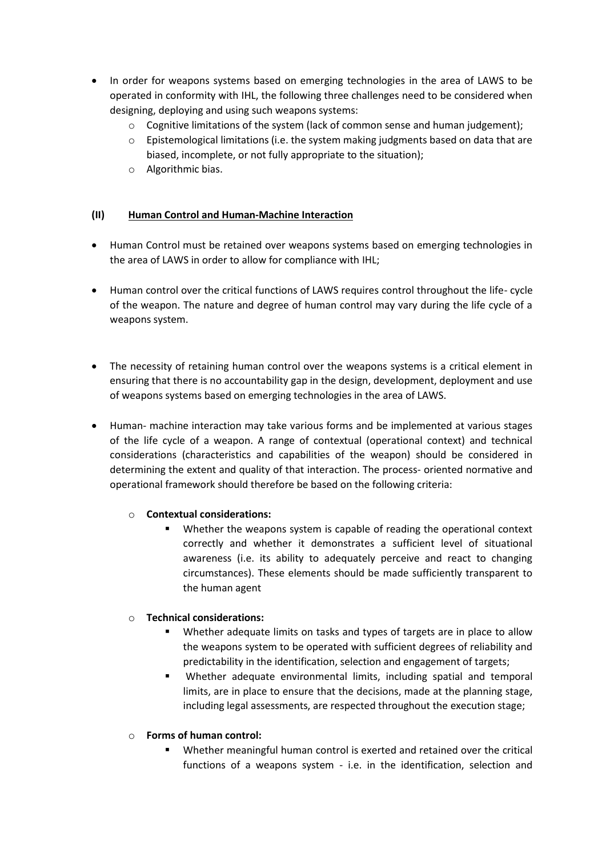- In order for weapons systems based on emerging technologies in the area of LAWS to be operated in conformity with IHL, the following three challenges need to be considered when designing, deploying and using such weapons systems:
	- $\circ$  Cognitive limitations of the system (lack of common sense and human judgement);
	- $\circ$  Epistemological limitations (i.e. the system making judgments based on data that are biased, incomplete, or not fully appropriate to the situation);
	- o Algorithmic bias.

#### **(II) Human Control and Human-Machine Interaction**

- Human Control must be retained over weapons systems based on emerging technologies in the area of LAWS in order to allow for compliance with IHL;
- Human control over the critical functions of LAWS requires control throughout the life- cycle of the weapon. The nature and degree of human control may vary during the life cycle of a weapons system.
- The necessity of retaining human control over the weapons systems is a critical element in ensuring that there is no accountability gap in the design, development, deployment and use of weapons systems based on emerging technologies in the area of LAWS.
- Human- machine interaction may take various forms and be implemented at various stages of the life cycle of a weapon. A range of contextual (operational context) and technical considerations (characteristics and capabilities of the weapon) should be considered in determining the extent and quality of that interaction. The process- oriented normative and operational framework should therefore be based on the following criteria:

# o **Contextual considerations:**

 Whether the weapons system is capable of reading the operational context correctly and whether it demonstrates a sufficient level of situational awareness (i.e. its ability to adequately perceive and react to changing circumstances). These elements should be made sufficiently transparent to the human agent

# o **Technical considerations:**

- Whether adequate limits on tasks and types of targets are in place to allow the weapons system to be operated with sufficient degrees of reliability and predictability in the identification, selection and engagement of targets;
- Whether adequate environmental limits, including spatial and temporal limits, are in place to ensure that the decisions, made at the planning stage, including legal assessments, are respected throughout the execution stage;

# o **Forms of human control:**

 Whether meaningful human control is exerted and retained over the critical functions of a weapons system - i.e. in the identification, selection and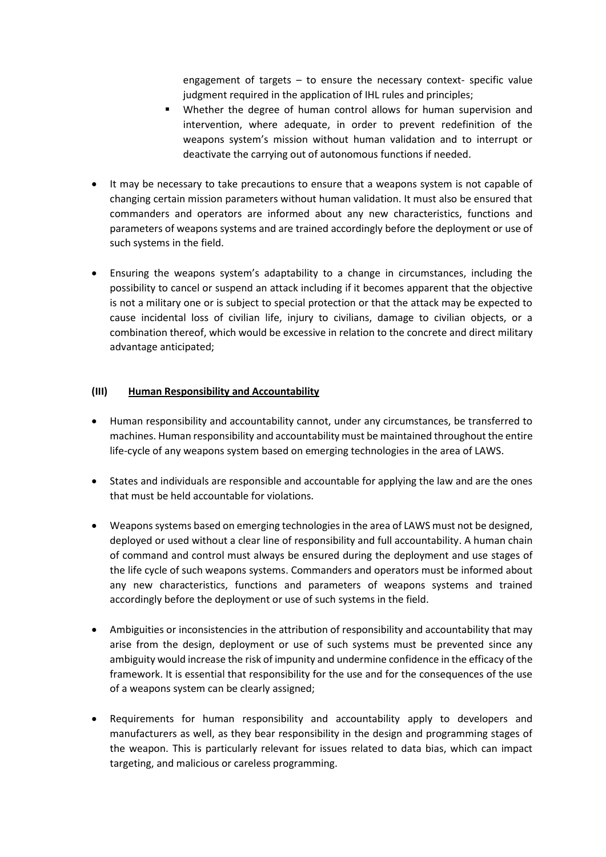engagement of targets – to ensure the necessary context- specific value judgment required in the application of IHL rules and principles;

- Whether the degree of human control allows for human supervision and intervention, where adequate, in order to prevent redefinition of the weapons system's mission without human validation and to interrupt or deactivate the carrying out of autonomous functions if needed.
- It may be necessary to take precautions to ensure that a weapons system is not capable of changing certain mission parameters without human validation. It must also be ensured that commanders and operators are informed about any new characteristics, functions and parameters of weapons systems and are trained accordingly before the deployment or use of such systems in the field.
- Ensuring the weapons system's adaptability to a change in circumstances, including the possibility to cancel or suspend an attack including if it becomes apparent that the objective is not a military one or is subject to special protection or that the attack may be expected to cause incidental loss of civilian life, injury to civilians, damage to civilian objects, or a combination thereof, which would be excessive in relation to the concrete and direct military advantage anticipated;

# **(III) Human Responsibility and Accountability**

- Human responsibility and accountability cannot, under any circumstances, be transferred to machines. Human responsibility and accountability must be maintained throughout the entire life-cycle of any weapons system based on emerging technologies in the area of LAWS.
- States and individuals are responsible and accountable for applying the law and are the ones that must be held accountable for violations.
- Weapons systems based on emerging technologies in the area of LAWS must not be designed, deployed or used without a clear line of responsibility and full accountability. A human chain of command and control must always be ensured during the deployment and use stages of the life cycle of such weapons systems. Commanders and operators must be informed about any new characteristics, functions and parameters of weapons systems and trained accordingly before the deployment or use of such systems in the field.
- Ambiguities or inconsistencies in the attribution of responsibility and accountability that may arise from the design, deployment or use of such systems must be prevented since any ambiguity would increase the risk of impunity and undermine confidence in the efficacy of the framework. It is essential that responsibility for the use and for the consequences of the use of a weapons system can be clearly assigned;
- Requirements for human responsibility and accountability apply to developers and manufacturers as well, as they bear responsibility in the design and programming stages of the weapon. This is particularly relevant for issues related to data bias, which can impact targeting, and malicious or careless programming.